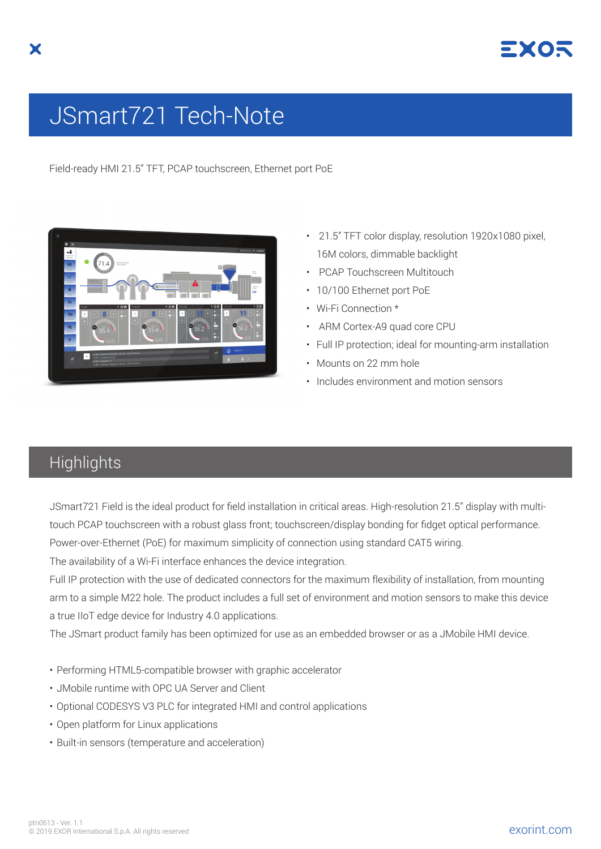

## JSmart721 Tech-Note

Field-ready HMI 21.5" TFT, PCAP touchscreen, Ethernet port PoE



- 21.5" TFT color display, resolution 1920x1080 pixel, 16M colors, dimmable backlight
- PCAP Touchscreen Multitouch
- 10/100 Ethernet port PoE
- Wi-Fi Connection \*
- ARM Cortex-A9 quad core CPU
- Full IP protection; ideal for mounting-arm installation
- Mounts on 22 mm hole
- Includes environment and motion sensors

## **Highlights**

JSmart721 Field is the ideal product for field installation in critical areas. High-resolution 21.5" display with multitouch PCAP touchscreen with a robust glass front; touchscreen/display bonding for fidget optical performance. Power-over-Ethernet (PoE) for maximum simplicity of connection using standard CAT5 wiring.

The availability of a Wi-Fi interface enhances the device integration.

Full IP protection with the use of dedicated connectors for the maximum flexibility of installation, from mounting arm to a simple M22 hole. The product includes a full set of environment and motion sensors to make this device a true IIoT edge device for Industry 4.0 applications.

The JSmart product family has been optimized for use as an embedded browser or as a JMobile HMI device.

- Performing HTML5-compatible browser with graphic accelerator
- JMobile runtime with OPC UA Server and Client
- Optional CODESYS V3 PLC for integrated HMI and control applications
- Open platform for Linux applications
- Built-in sensors (temperature and acceleration)